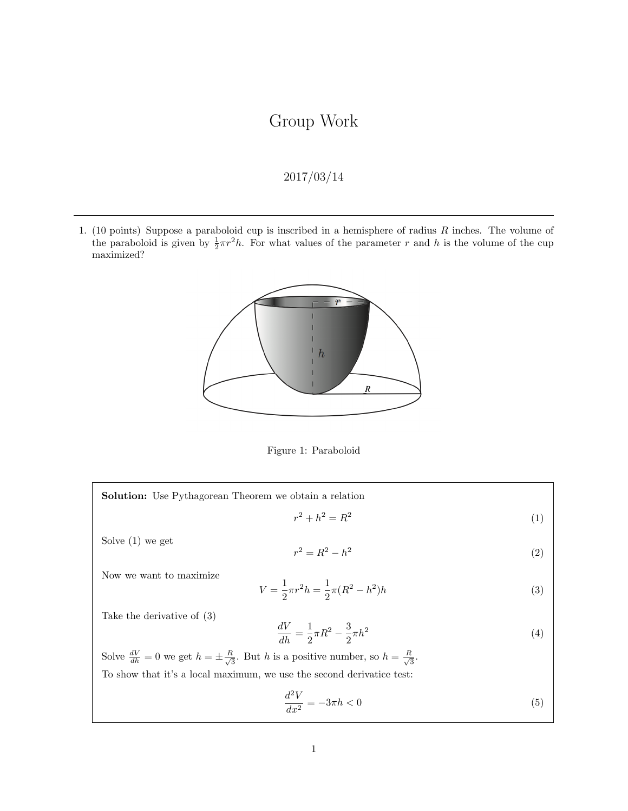## Group Work

## 2017/03/14

1. (10 points) Suppose a paraboloid cup is inscribed in a hemisphere of radius  $R$  inches. The volume of the paraboloid is given by  $\frac{1}{2}\pi r^2 h$ . For what values of the parameter r and h is the volume of the cup maximized?



Figure 1: Paraboloid

Solution: Use Pythagorean Theorem we obtain a relation  $r^2 + h^2 = R^2$ (1)

Solve (1) we get

$$
r^2 = R^2 - h^2 \tag{2}
$$

Now we want to maximize

$$
V = \frac{1}{2}\pi r^2 h = \frac{1}{2}\pi (R^2 - h^2)h
$$
\n(3)

Take the derivative of (3)

$$
\frac{dV}{dh} = \frac{1}{2}\pi R^2 - \frac{3}{2}\pi h^2\tag{4}
$$

Solve  $\frac{dV}{dh} = 0$  we get  $h = \pm \frac{R}{\sqrt{3}}$  $\frac{2}{3}$ . But h is a positive number, so  $h = \frac{R}{\sqrt{3}}$  $\frac{1}{3}$ . To show that it's a local maximum, we use the second derivatice test:

$$
\frac{d^2V}{dx^2} = -3\pi h < 0\tag{5}
$$